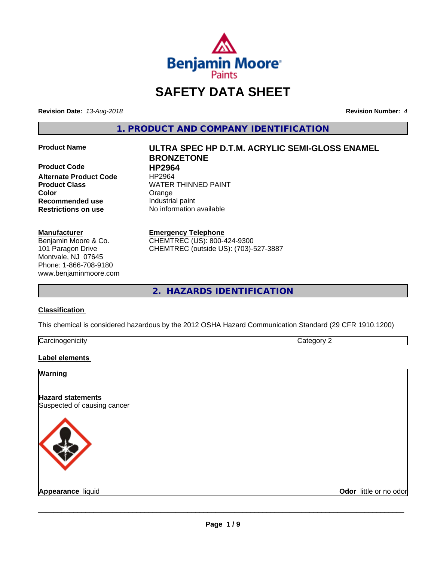

# **SAFETY DATA SHEET**

**Revision Date:** *13-Aug-2018* **Revision Number:** *4*

**1. PRODUCT AND COMPANY IDENTIFICATION**

**Product Code 
<b>HP2964**<br> **Alternate Product Code** 
HP2964 **Alternate Product Code Color Color Color Orange Recommended use** Industrial paint **Restrictions on use** No information available

#### **Manufacturer**

Benjamin Moore & Co. 101 Paragon Drive Montvale, NJ 07645 Phone: 1-866-708-9180 www.benjaminmoore.com

# **Product Name ULTRA SPEC HP D.T.M. ACRYLIC SEMI-GLOSS ENAMEL BRONZETONE Product Class WATER THINNED PAINT**

#### **Emergency Telephone**

CHEMTREC (US): 800-424-9300 CHEMTREC (outside US): (703)-527-3887

# **2. HAZARDS IDENTIFICATION**

#### **Classification**

This chemical is considered hazardous by the 2012 OSHA Hazard Communication Standard (29 CFR 1910.1200)

| . .<br>. 1100<br>$\overline{a}$<br> | И |
|-------------------------------------|---|

#### **Label elements**

#### **Warning**

**Hazard statements** Suspected of causing cancer



**Appearance** liquid **Contract Contract Contract Contract Contract Contract Contract Contract Contract Contract Contract Contract Contract Contract Contract Contract Contract Contract Contract Contract Contract Contract Con**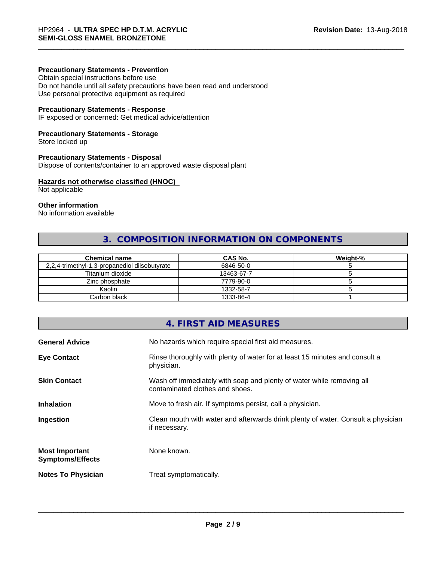#### **Precautionary Statements - Prevention**

Obtain special instructions before use Do not handle until all safety precautions have been read and understood Use personal protective equipment as required

#### **Precautionary Statements - Response**

IF exposed or concerned: Get medical advice/attention

#### **Precautionary Statements - Storage**

Store locked up

#### **Precautionary Statements - Disposal**

Dispose of contents/container to an approved waste disposal plant

#### **Hazards not otherwise classified (HNOC)**

Not applicable

#### **Other information**

No information available

# **3. COMPOSITION INFORMATION ON COMPONENTS**

| <b>Chemical name</b>                          | <b>CAS No.</b> | Weight-% |
|-----------------------------------------------|----------------|----------|
| 2,2,4-trimethyl-1,3-propanediol diisobutyrate | 6846-50-0      |          |
| Titanium dioxide                              | 13463-67-7     |          |
| Zinc phosphate                                | 7779-90-0      |          |
| Kaolin                                        | 1332-58-7      |          |
| Carbon black                                  | 1333-86-4      |          |

# **4. FIRST AID MEASURES**

| Rinse thoroughly with plenty of water for at least 15 minutes and consult a<br>physician.<br>Wash off immediately with soap and plenty of water while removing all<br>contaminated clothes and shoes.<br>Move to fresh air. If symptoms persist, call a physician.<br>Clean mouth with water and afterwards drink plenty of water. Consult a physician<br>if necessary.<br>None known.<br>Treat symptomatically. | <b>General Advice</b>                            | No hazards which require special first aid measures. |
|------------------------------------------------------------------------------------------------------------------------------------------------------------------------------------------------------------------------------------------------------------------------------------------------------------------------------------------------------------------------------------------------------------------|--------------------------------------------------|------------------------------------------------------|
|                                                                                                                                                                                                                                                                                                                                                                                                                  | <b>Eye Contact</b>                               |                                                      |
|                                                                                                                                                                                                                                                                                                                                                                                                                  | <b>Skin Contact</b>                              |                                                      |
|                                                                                                                                                                                                                                                                                                                                                                                                                  | <b>Inhalation</b>                                |                                                      |
|                                                                                                                                                                                                                                                                                                                                                                                                                  | Ingestion                                        |                                                      |
|                                                                                                                                                                                                                                                                                                                                                                                                                  | <b>Most Important</b><br><b>Symptoms/Effects</b> |                                                      |
|                                                                                                                                                                                                                                                                                                                                                                                                                  | <b>Notes To Physician</b>                        |                                                      |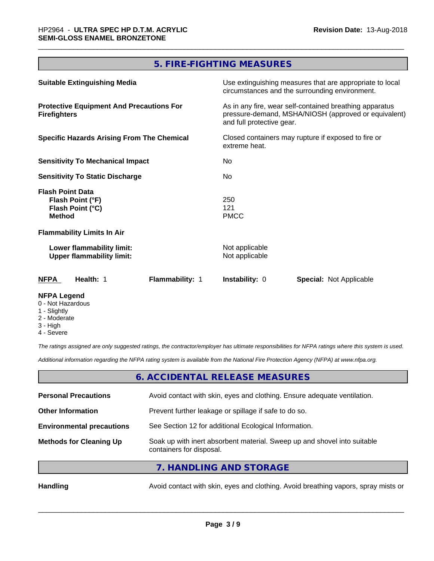# **5. FIRE-FIGHTING MEASURES**

| <b>Suitable Extinguishing Media</b>                                              | Use extinguishing measures that are appropriate to local<br>circumstances and the surrounding environment.                                                                                                           |  |
|----------------------------------------------------------------------------------|----------------------------------------------------------------------------------------------------------------------------------------------------------------------------------------------------------------------|--|
| <b>Protective Equipment And Precautions For</b><br><b>Firefighters</b>           | As in any fire, wear self-contained breathing apparatus<br>pressure-demand, MSHA/NIOSH (approved or equivalent)<br>and full protective gear.<br>Closed containers may rupture if exposed to fire or<br>extreme heat. |  |
| <b>Specific Hazards Arising From The Chemical</b>                                |                                                                                                                                                                                                                      |  |
| <b>Sensitivity To Mechanical Impact</b>                                          | No.                                                                                                                                                                                                                  |  |
| <b>Sensitivity To Static Discharge</b>                                           | No.                                                                                                                                                                                                                  |  |
| <b>Flash Point Data</b><br>Flash Point (°F)<br>Flash Point (°C)<br><b>Method</b> | 250<br>121<br><b>PMCC</b>                                                                                                                                                                                            |  |
| <b>Flammability Limits In Air</b>                                                |                                                                                                                                                                                                                      |  |
| Lower flammability limit:<br><b>Upper flammability limit:</b>                    | Not applicable<br>Not applicable                                                                                                                                                                                     |  |
| <b>NFPA</b><br>Health: 1<br>Flammability: 1                                      | <b>Instability: 0</b><br><b>Special: Not Applicable</b>                                                                                                                                                              |  |
| <b>NFPA Legend</b>                                                               |                                                                                                                                                                                                                      |  |

- 0 Not Hazardous
- 1 Slightly
- 2 Moderate
- 3 High
- 4 Severe

*The ratings assigned are only suggested ratings, the contractor/employer has ultimate responsibilities for NFPA ratings where this system is used.*

*Additional information regarding the NFPA rating system is available from the National Fire Protection Agency (NFPA) at www.nfpa.org.*

#### **6. ACCIDENTAL RELEASE MEASURES**

| <b>Personal Precautions</b>      | Avoid contact with skin, eyes and clothing. Ensure adequate ventilation.                             |  |
|----------------------------------|------------------------------------------------------------------------------------------------------|--|
| <b>Other Information</b>         | Prevent further leakage or spillage if safe to do so.                                                |  |
| <b>Environmental precautions</b> | See Section 12 for additional Ecological Information.                                                |  |
| <b>Methods for Cleaning Up</b>   | Soak up with inert absorbent material. Sweep up and shovel into suitable<br>containers for disposal. |  |
|                                  |                                                                                                      |  |

**7. HANDLING AND STORAGE**

Handling **Handling** Avoid contact with skin, eyes and clothing. Avoid breathing vapors, spray mists or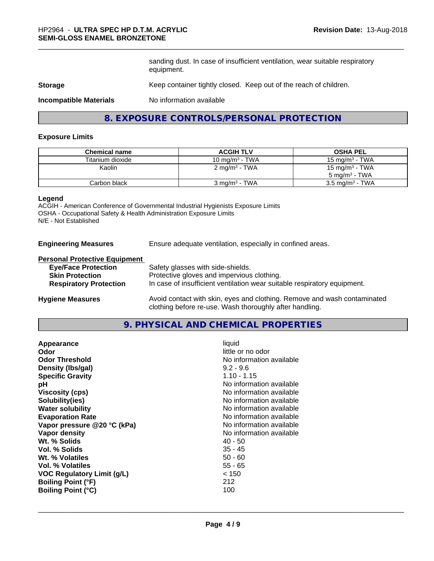sanding dust. In case of insufficient ventilation, wear suitable respiratory equipment.

#### **Storage** Keep container tightly closed. Keep out of the reach of children.

**Incompatible Materials** No information available

### **8. EXPOSURE CONTROLS/PERSONAL PROTECTION**

#### **Exposure Limits**

| <b>Chemical name</b> | <b>ACGIH TLV</b>          | <b>OSHA PEL</b>            |
|----------------------|---------------------------|----------------------------|
| Titanium dioxide     | 10 mg/m $3$ - TWA         | 15 mg/m $3$ - TWA          |
| Kaolin               | 2 mg/m <sup>3</sup> - TWA | 15 mg/m <sup>3</sup> - TWA |
|                      |                           | $5 \text{ ma/m}^3$ - TWA   |
| Carbon black         | $3 \text{ mg/m}^3$ - TWA  | $3.5 \text{ mg/m}^3$ - TWA |

#### **Legend**

ACGIH - American Conference of Governmental Industrial Hygienists Exposure Limits OSHA - Occupational Safety & Health Administration Exposure Limits N/E - Not Established

**Engineering Measures** Ensure adequate ventilation, especially in confined areas.

#### **Personal Protective Equipment**

| <b>Eye/Face Protection</b>    | Safety glasses with side-shields.                                                                                |
|-------------------------------|------------------------------------------------------------------------------------------------------------------|
| <b>Skin Protection</b>        | Protective gloves and impervious clothing.                                                                       |
| <b>Respiratory Protection</b> | In case of insufficient ventilation wear suitable respiratory equipment.                                         |
|                               | As a full decomposition of the component of all the fields. For a component section of the contract of the field |

**Hygiene Measures** Avoid contact with skin, eyes and clothing. Remove and wash contaminated clothing before re-use. Wash thoroughly after handling.

#### **9. PHYSICAL AND CHEMICAL PROPERTIES**

| Appearance                  | liquid                   |
|-----------------------------|--------------------------|
| Odor                        | little or no odor        |
| <b>Odor Threshold</b>       | No information available |
| Density (Ibs/gal)           | $9.2 - 9.6$              |
| <b>Specific Gravity</b>     | $1.10 - 1.15$            |
| рH                          | No information available |
| <b>Viscosity (cps)</b>      | No information available |
| Solubility(ies)             | No information available |
| <b>Water solubility</b>     | No information available |
| <b>Evaporation Rate</b>     | No information available |
| Vapor pressure @20 °C (kPa) | No information available |
| Vapor density               | No information available |
| Wt. % Solids                | 40 - 50                  |
| Vol. % Solids               | $35 - 45$                |
| Wt. % Volatiles             | $50 - 60$                |
| Vol. % Volatiles            | 55 - 65                  |
| VOC Regulatory Limit (g/L)  | < 150                    |
| <b>Boiling Point (°F)</b>   | 212                      |
| <b>Boiling Point (°C)</b>   | 100                      |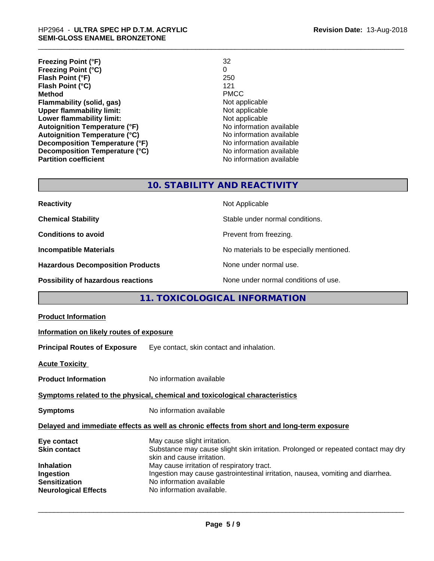| <b>Freezing Point (°F)</b>           | 32                       |
|--------------------------------------|--------------------------|
| <b>Freezing Point (°C)</b>           | 0                        |
| Flash Point (°F)                     | 250                      |
| Flash Point (°C)                     | 121                      |
| <b>Method</b>                        | <b>PMCC</b>              |
| Flammability (solid, gas)            | Not applicable           |
| <b>Upper flammability limit:</b>     | Not applicable           |
| Lower flammability limit:            | Not applicable           |
| <b>Autoignition Temperature (°F)</b> | No information available |
| <b>Autoignition Temperature (°C)</b> | No information available |
| Decomposition Temperature (°F)       | No information available |
| Decomposition Temperature (°C)       | No information available |
| <b>Partition coefficient</b>         | No information available |

# **10. STABILITY AND REACTIVITY**

| <b>Reactivity</b>                         | Not Applicable                           |
|-------------------------------------------|------------------------------------------|
| <b>Chemical Stability</b>                 | Stable under normal conditions.          |
| <b>Conditions to avoid</b>                | Prevent from freezing.                   |
| <b>Incompatible Materials</b>             | No materials to be especially mentioned. |
| <b>Hazardous Decomposition Products</b>   | None under normal use.                   |
| <b>Possibility of hazardous reactions</b> | None under normal conditions of use.     |

# **11. TOXICOLOGICAL INFORMATION**

| <b>Product Information</b>                                                                                                  |                                                                                                                                                                                                                                                                                                                                           |  |
|-----------------------------------------------------------------------------------------------------------------------------|-------------------------------------------------------------------------------------------------------------------------------------------------------------------------------------------------------------------------------------------------------------------------------------------------------------------------------------------|--|
| Information on likely routes of exposure                                                                                    |                                                                                                                                                                                                                                                                                                                                           |  |
|                                                                                                                             | <b>Principal Routes of Exposure</b> Eye contact, skin contact and inhalation.                                                                                                                                                                                                                                                             |  |
| <b>Acute Toxicity</b>                                                                                                       |                                                                                                                                                                                                                                                                                                                                           |  |
| <b>Product Information</b>                                                                                                  | No information available                                                                                                                                                                                                                                                                                                                  |  |
| Symptoms related to the physical, chemical and toxicological characteristics                                                |                                                                                                                                                                                                                                                                                                                                           |  |
| <b>Symptoms</b>                                                                                                             | No information available                                                                                                                                                                                                                                                                                                                  |  |
| Delayed and immediate effects as well as chronic effects from short and long-term exposure                                  |                                                                                                                                                                                                                                                                                                                                           |  |
| Eye contact<br><b>Skin contact</b><br><b>Inhalation</b><br>Ingestion<br><b>Sensitization</b><br><b>Neurological Effects</b> | May cause slight irritation.<br>Substance may cause slight skin irritation. Prolonged or repeated contact may dry<br>skin and cause irritation.<br>May cause irritation of respiratory tract.<br>Ingestion may cause gastrointestinal irritation, nausea, vomiting and diarrhea.<br>No information available<br>No information available. |  |
|                                                                                                                             |                                                                                                                                                                                                                                                                                                                                           |  |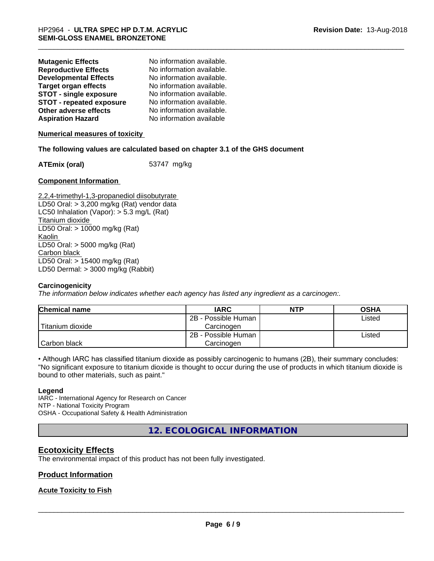| <b>Mutagenic Effects</b>        | No information available. |
|---------------------------------|---------------------------|
| <b>Reproductive Effects</b>     | No information available. |
| <b>Developmental Effects</b>    | No information available. |
| <b>Target organ effects</b>     | No information available. |
| <b>STOT - single exposure</b>   | No information available. |
| <b>STOT - repeated exposure</b> | No information available. |
| Other adverse effects           | No information available. |
| <b>Aspiration Hazard</b>        | No information available  |

**Numerical measures of toxicity**

#### **The following values are calculated based on chapter 3.1 of the GHS document**

**ATEmix (oral)** 53747 mg/kg

#### **Component Information**

2,2,4-trimethyl-1,3-propanediol diisobutyrate LD50 Oral: > 3,200 mg/kg (Rat) vendor data LC50 Inhalation (Vapor): > 5.3 mg/L (Rat) Titanium dioxide LD50 Oral: > 10000 mg/kg (Rat) Kaolin LD50 Oral: > 5000 mg/kg (Rat) Carbon black LD50 Oral: > 15400 mg/kg (Rat) LD50 Dermal: > 3000 mg/kg (Rabbit)

#### **Carcinogenicity**

*The information below indicateswhether each agency has listed any ingredient as a carcinogen:.*

| <b>Chemical name</b> | <b>IARC</b>         | <b>NTP</b> | <b>OSHA</b> |
|----------------------|---------------------|------------|-------------|
|                      | 2B - Possible Human |            | Listed      |
| Titanium dioxide     | Carcinoɑen          |            |             |
|                      | 2B - Possible Human |            | Listed      |
| Carbon black         | Carcinogen          |            |             |

• Although IARC has classified titanium dioxide as possibly carcinogenic to humans (2B), their summary concludes: "No significant exposure to titanium dioxide is thought to occur during the use of products in which titanium dioxide is bound to other materials, such as paint."

#### **Legend**

IARC - International Agency for Research on Cancer NTP - National Toxicity Program OSHA - Occupational Safety & Health Administration

**12. ECOLOGICAL INFORMATION**

#### **Ecotoxicity Effects**

The environmental impact of this product has not been fully investigated.

#### **Product Information**

#### **Acute Toxicity to Fish**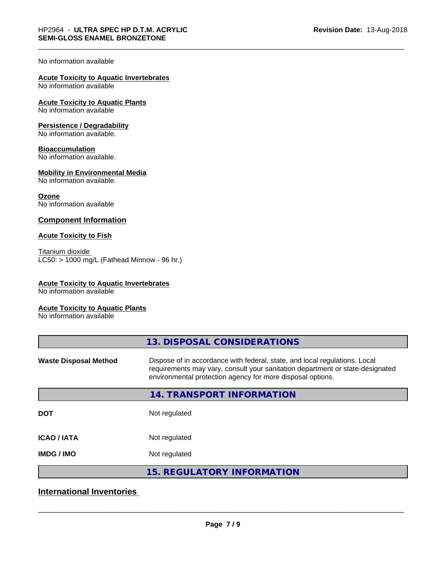#### No information available

# **Acute Toxicity to Aquatic Invertebrates**

No information available

#### **Acute Toxicity to Aquatic Plants** No information available

# **Persistence / Degradability**

No information available.

#### **Bioaccumulation**

No information available.

#### **Mobility in Environmental Media**

No information available.

#### **Ozone**

No information available

#### **Component Information**

#### **Acute Toxicity to Fish**

Titanium dioxide  $LC50:$  > 1000 mg/L (Fathead Minnow - 96 hr.)

#### **Acute Toxicity to Aquatic Invertebrates**

No information available

#### **Acute Toxicity to Aquatic Plants**

No information available

| 13. DISPOSAL CONSIDERATIONS                                                                                                                                                                                               |
|---------------------------------------------------------------------------------------------------------------------------------------------------------------------------------------------------------------------------|
| Dispose of in accordance with federal, state, and local regulations. Local<br>requirements may vary, consult your sanitation department or state-designated<br>environmental protection agency for more disposal options. |
| 14. TRANSPORT INFORMATION                                                                                                                                                                                                 |
| Not regulated                                                                                                                                                                                                             |
| Not regulated                                                                                                                                                                                                             |
| Not regulated                                                                                                                                                                                                             |
| <b>15. REGULATORY INFORMATION</b>                                                                                                                                                                                         |
|                                                                                                                                                                                                                           |

### **International Inventories**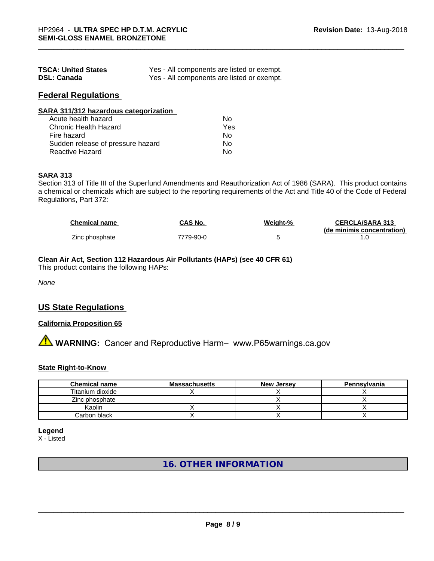| <b>TSCA: United States</b> | Yes - All components are listed or exempt. |
|----------------------------|--------------------------------------------|
| <b>DSL: Canada</b>         | Yes - All components are listed or exempt. |

### **Federal Regulations**

| SARA 311/312 hazardous categorization |     |  |
|---------------------------------------|-----|--|
| Acute health hazard                   | Nο  |  |
| Chronic Health Hazard                 | Yes |  |
| Fire hazard                           | Nο  |  |
| Sudden release of pressure hazard     | Nο  |  |

Reactive Hazard No

# **SARA 313**

Section 313 of Title III of the Superfund Amendments and Reauthorization Act of 1986 (SARA). This product contains a chemical or chemicals which are subject to the reporting requirements of the Act and Title 40 of the Code of Federal Regulations, Part 372:

| <b>Chemical name</b> | CAS No.   | Weight-% | <b>CERCLA/SARA 313</b>     |
|----------------------|-----------|----------|----------------------------|
|                      |           |          | (de minimis concentration) |
| Zinc phosphate       | 7779-90-0 |          |                            |

#### **Clean Air Act,Section 112 Hazardous Air Pollutants (HAPs) (see 40 CFR 61)**

This product contains the following HAPs:

*None*

### **US State Regulations**

#### **California Proposition 65**

**A WARNING:** Cancer and Reproductive Harm– www.P65warnings.ca.gov

#### **State Right-to-Know**

| <b>Chemical name</b> | <b>Massachusetts</b> | <b>New Jersey</b> | Pennsylvania |
|----------------------|----------------------|-------------------|--------------|
| Titanium dioxide     |                      |                   |              |
| Zinc phosphate       |                      |                   |              |
| Kaolin               |                      |                   |              |
| Carbon black         |                      |                   |              |

#### **Legend**

X - Listed

# **16. OTHER INFORMATION**